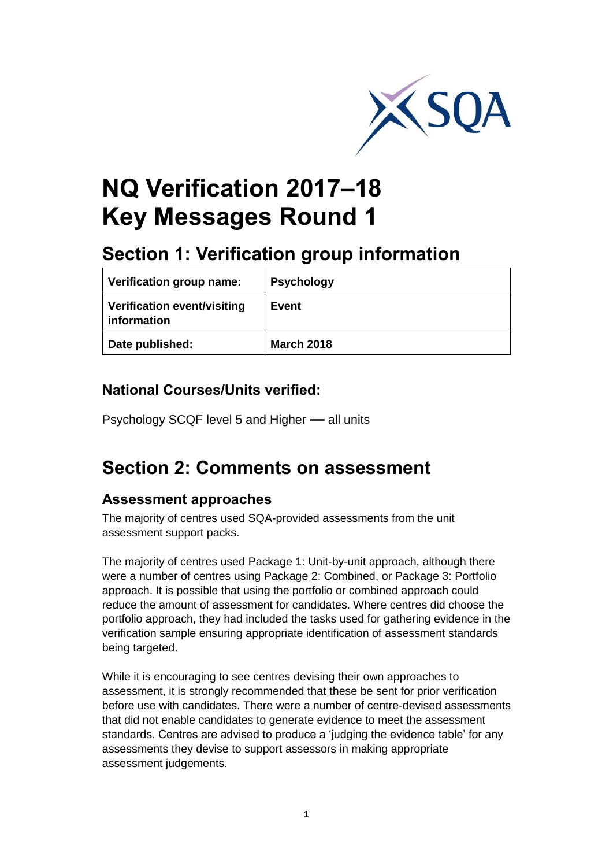

# **NQ Verification 2017–18 Key Messages Round 1**

## **Section 1: Verification group information**

| <b>Verification group name:</b>                   | <b>Psychology</b> |
|---------------------------------------------------|-------------------|
| <b>Verification event/visiting</b><br>information | Event             |
| Date published:                                   | <b>March 2018</b> |

### **National Courses/Units verified:**

Psychology SCQF level 5 and Higher **—** all units

## **Section 2: Comments on assessment**

#### **Assessment approaches**

The majority of centres used SQA-provided assessments from the unit assessment support packs.

The majority of centres used Package 1: Unit-by-unit approach, although there were a number of centres using Package 2: Combined, or Package 3: Portfolio approach. It is possible that using the portfolio or combined approach could reduce the amount of assessment for candidates. Where centres did choose the portfolio approach, they had included the tasks used for gathering evidence in the verification sample ensuring appropriate identification of assessment standards being targeted.

While it is encouraging to see centres devising their own approaches to assessment, it is strongly recommended that these be sent for prior verification before use with candidates. There were a number of centre-devised assessments that did not enable candidates to generate evidence to meet the assessment standards. Centres are advised to produce a 'judging the evidence table' for any assessments they devise to support assessors in making appropriate assessment judgements.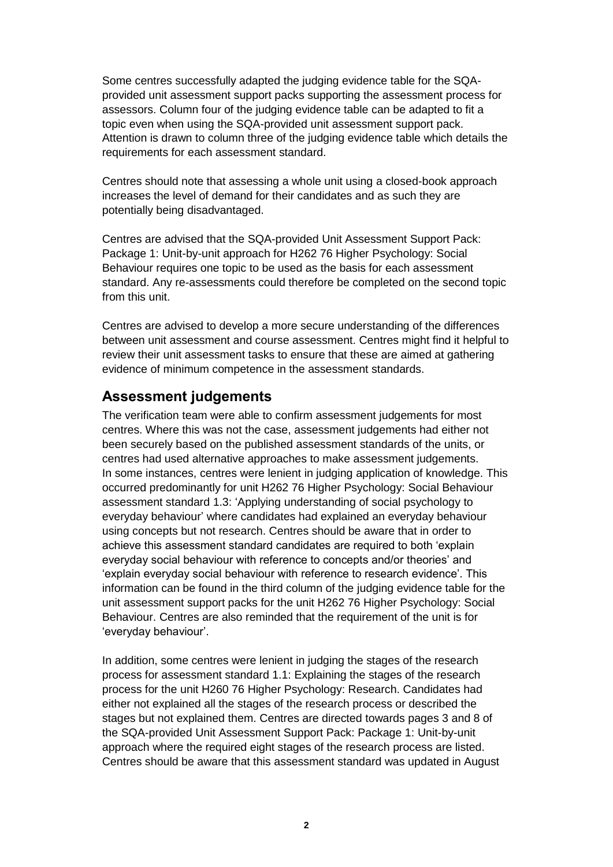Some centres successfully adapted the judging evidence table for the SQAprovided unit assessment support packs supporting the assessment process for assessors. Column four of the judging evidence table can be adapted to fit a topic even when using the SQA-provided unit assessment support pack. Attention is drawn to column three of the judging evidence table which details the requirements for each assessment standard.

Centres should note that assessing a whole unit using a closed-book approach increases the level of demand for their candidates and as such they are potentially being disadvantaged.

Centres are advised that the SQA-provided Unit Assessment Support Pack: Package 1: Unit-by-unit approach for H262 76 Higher Psychology: Social Behaviour requires one topic to be used as the basis for each assessment standard. Any re-assessments could therefore be completed on the second topic from this unit.

Centres are advised to develop a more secure understanding of the differences between unit assessment and course assessment. Centres might find it helpful to review their unit assessment tasks to ensure that these are aimed at gathering evidence of minimum competence in the assessment standards.

#### **Assessment judgements**

The verification team were able to confirm assessment judgements for most centres. Where this was not the case, assessment judgements had either not been securely based on the published assessment standards of the units, or centres had used alternative approaches to make assessment judgements. In some instances, centres were lenient in judging application of knowledge. This occurred predominantly for unit H262 76 Higher Psychology: Social Behaviour assessment standard 1.3: 'Applying understanding of social psychology to everyday behaviour' where candidates had explained an everyday behaviour using concepts but not research. Centres should be aware that in order to achieve this assessment standard candidates are required to both 'explain everyday social behaviour with reference to concepts and/or theories' and 'explain everyday social behaviour with reference to research evidence'. This information can be found in the third column of the judging evidence table for the unit assessment support packs for the unit H262 76 Higher Psychology: Social Behaviour. Centres are also reminded that the requirement of the unit is for 'everyday behaviour'.

In addition, some centres were lenient in judging the stages of the research process for assessment standard 1.1: Explaining the stages of the research process for the unit H260 76 Higher Psychology: Research. Candidates had either not explained all the stages of the research process or described the stages but not explained them. Centres are directed towards pages 3 and 8 of the SQA-provided Unit Assessment Support Pack: Package 1: Unit-by-unit approach where the required eight stages of the research process are listed. Centres should be aware that this assessment standard was updated in August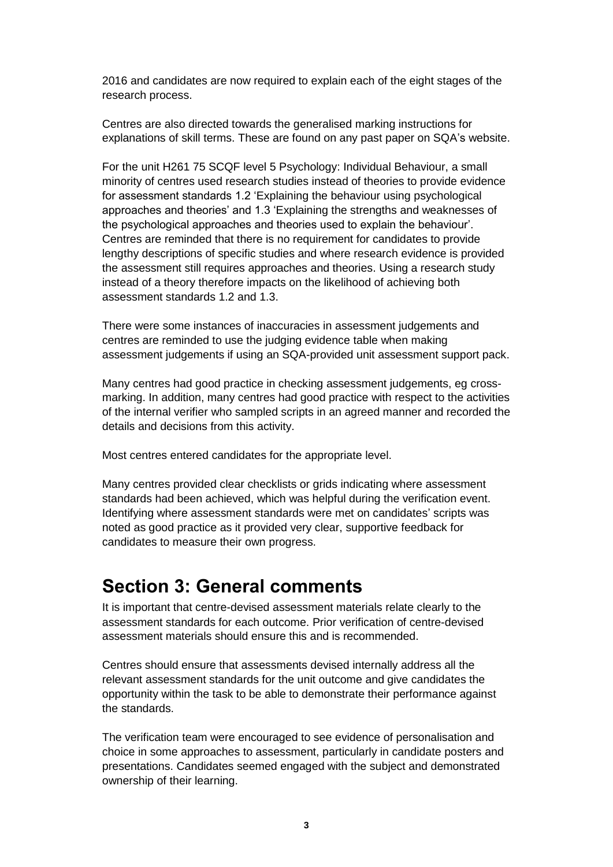2016 and candidates are now required to explain each of the eight stages of the research process.

Centres are also directed towards the generalised marking instructions for explanations of skill terms. These are found on any past paper on SQA's website.

For the unit H261 75 SCQF level 5 Psychology: Individual Behaviour, a small minority of centres used research studies instead of theories to provide evidence for assessment standards 1.2 'Explaining the behaviour using psychological approaches and theories' and 1.3 'Explaining the strengths and weaknesses of the psychological approaches and theories used to explain the behaviour'. Centres are reminded that there is no requirement for candidates to provide lengthy descriptions of specific studies and where research evidence is provided the assessment still requires approaches and theories. Using a research study instead of a theory therefore impacts on the likelihood of achieving both assessment standards 1.2 and 1.3.

There were some instances of inaccuracies in assessment judgements and centres are reminded to use the judging evidence table when making assessment judgements if using an SQA-provided unit assessment support pack.

Many centres had good practice in checking assessment judgements, eg crossmarking. In addition, many centres had good practice with respect to the activities of the internal verifier who sampled scripts in an agreed manner and recorded the details and decisions from this activity.

Most centres entered candidates for the appropriate level.

Many centres provided clear checklists or grids indicating where assessment standards had been achieved, which was helpful during the verification event. Identifying where assessment standards were met on candidates' scripts was noted as good practice as it provided very clear, supportive feedback for candidates to measure their own progress.

## **Section 3: General comments**

It is important that centre-devised assessment materials relate clearly to the assessment standards for each outcome. Prior verification of centre-devised assessment materials should ensure this and is recommended.

Centres should ensure that assessments devised internally address all the relevant assessment standards for the unit outcome and give candidates the opportunity within the task to be able to demonstrate their performance against the standards.

The verification team were encouraged to see evidence of personalisation and choice in some approaches to assessment, particularly in candidate posters and presentations. Candidates seemed engaged with the subject and demonstrated ownership of their learning.